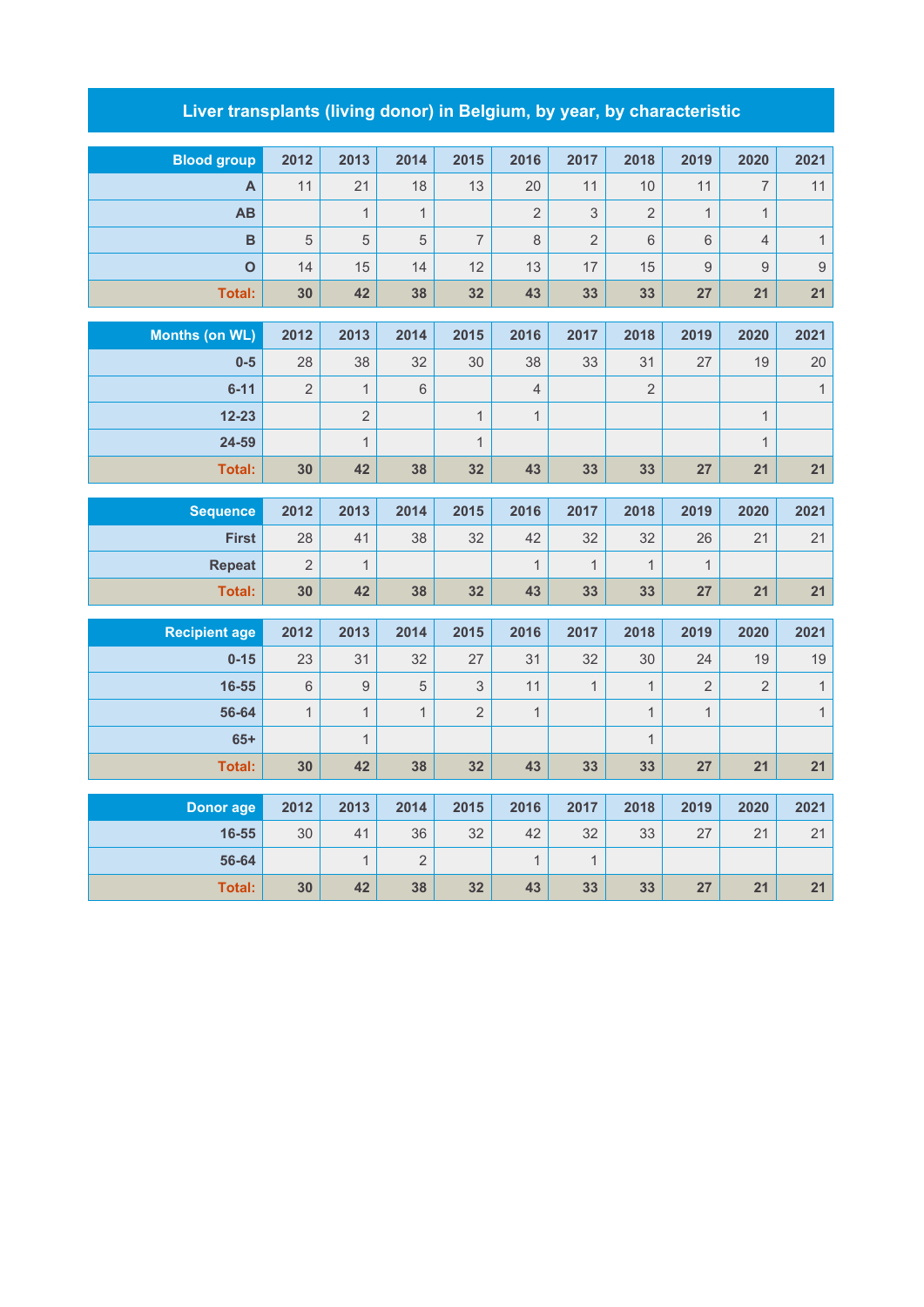## **Liver transplants (living donor) in Belgium, by year, by characteristic**

| <b>Blood group</b>    | 2012           | 2013           | 2014           | 2015           | 2016           | 2017           | 2018           | 2019           | 2020           | 2021           |
|-----------------------|----------------|----------------|----------------|----------------|----------------|----------------|----------------|----------------|----------------|----------------|
| A                     | 11             | 21             | 18             | 13             | 20             | 11             | 10             | 11             | $\overline{7}$ | 11             |
| AB                    |                | $\mathbf{1}$   | $\mathbf{1}$   |                | $\overline{2}$ | 3              | $\overline{2}$ | $\mathbf{1}$   | $\mathbf{1}$   |                |
| $\overline{B}$        | 5              | $\sqrt{5}$     | 5              | $\overline{7}$ | $\,8\,$        | $\overline{2}$ | $6\phantom{1}$ | $6\phantom{1}$ | $\overline{4}$ | $\mathbf{1}$   |
| $\mathbf O$           | 14             | 15             | 14             | 12             | 13             | 17             | 15             | $\hbox{9}$     | $\overline{9}$ | $\overline{9}$ |
| <b>Total:</b>         | 30             | 42             | 38             | 32             | 43             | 33             | 33             | 27             | 21             | 21             |
|                       |                |                |                |                |                |                |                |                |                |                |
| <b>Months (on WL)</b> | 2012           | 2013           | 2014           | 2015           | 2016           | 2017           | 2018           | 2019           | 2020           | 2021           |
| $0-5$                 | 28             | 38             | 32             | 30             | 38             | 33             | 31             | 27             | 19             | 20             |
| $6 - 11$              | $\overline{2}$ | $\mathbf{1}$   | $6\,$          |                | $\overline{4}$ |                | $\overline{2}$ |                |                | $\mathbf{1}$   |
| $12 - 23$             |                | $\overline{2}$ |                | $\mathbf{1}$   | $\mathbf{1}$   |                |                |                | $\mathbf{1}$   |                |
| 24-59                 |                | $\mathbf{1}$   |                | $\overline{1}$ |                |                |                |                | $\mathbf{1}$   |                |
| <b>Total:</b>         | 30             | 42             | 38             | 32             | 43             | 33             | 33             | 27             | 21             | 21             |
|                       |                |                |                |                |                |                |                |                |                |                |
| <b>Sequence</b>       | 2012           | 2013           | 2014           | 2015           | 2016           | 2017           | 2018           | 2019           | 2020           | 2021           |
| <b>First</b>          | 28             | 41             | 38             | 32             | 42             | 32             | 32             | 26             | 21             | 21             |
| <b>Repeat</b>         | $\overline{2}$ | $\mathbf{1}$   |                |                | $\mathbf{1}$   | $\mathbf{1}$   | $\mathbf{1}$   | $\mathbf{1}$   |                |                |
| <b>Total:</b>         | 30             | 42             | 38             | 32             | 43             | 33             | 33             | 27             | 21             | 21             |
| <b>Recipient age</b>  | 2012           | 2013           | 2014           | 2015           | 2016           | 2017           | 2018           | 2019           | 2020           | 2021           |
| $0 - 15$              | 23             | 31             | 32             | 27             | 31             | 32             | 30             | 24             | 19             | 19             |
| 16-55                 | $6\phantom{1}$ | $\overline{9}$ | 5              | 3              | 11             | $\mathbf{1}$   | $\mathbf{1}$   | $\overline{2}$ | $\overline{2}$ | $\mathbf{1}$   |
| 56-64                 | $\mathbf{1}$   | $\mathbf{1}$   | $\mathbf{1}$   | $\overline{2}$ | $\mathbf{1}$   |                | $\mathbf{1}$   | $\mathbf{1}$   |                | $\mathbf{1}$   |
| $65+$                 |                | $\mathbf{1}$   |                |                |                |                | $\mathbf{1}$   |                |                |                |
| <b>Total:</b>         | 30             | 42             | 38             | 32             | 43             | 33             | 33             | 27             | 21             | 21             |
|                       |                |                |                |                |                |                |                |                |                |                |
| <b>Donor age</b>      | 2012           | 2013           | 2014           | 2015           | 2016           | 2017           | 2018           | 2019           | 2020           | 2021           |
| 16-55                 | 30             | 41             | 36             | 32             | 42             | 32             | 33             | 27             | 21             | 21             |
| 56-64                 |                | $\mathbf{1}$   | $\overline{2}$ |                | $\mathbf{1}$   | $\mathbf{1}$   |                |                |                |                |
| <b>Total:</b>         | 30             | 42             | 38             | 32             | 43             | 33             | 33             | 27             | 21             | 21             |